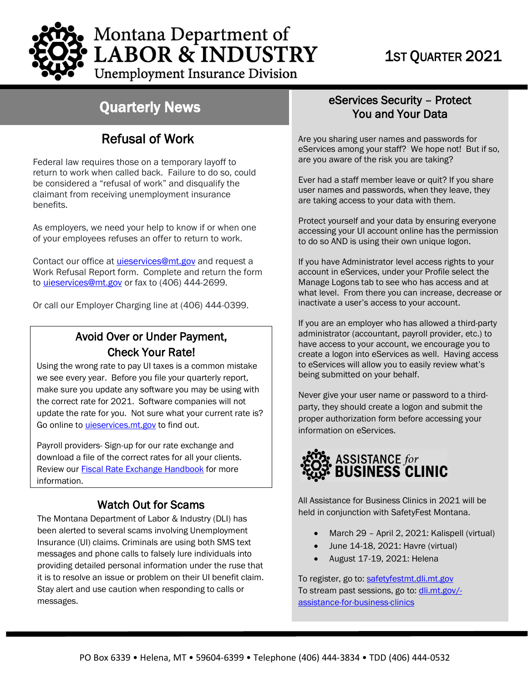

# Quarterly News

## Refusal of Work

Federal law requires those on a temporary layoff to return to work when called back. Failure to do so, could be considered a "refusal of work" and disqualify the claimant from receiving unemployment insurance benefits.

As employers, we need your help to know if or when one of your employees refuses an offer to return to work.

Contact our office at [uieservices@mt.gov](mailto:uieservices@mt.gov) and request a Work Refusal Report form. Complete and return the form to *uieservices@mt.gov* or fax to (406) 444-2699.

Or call our Employer Charging line at (406) 444-0399.

### Avoid Over or Under Payment, Check Your Rate!

Using the wrong rate to pay UI taxes is a common mistake we see every year. Before you file your quarterly report, make sure you update any software you may be using with the correct rate for 2021. Software companies will not update the rate for you. Not sure what your current rate is? Go online to *uieservices.mt.gov* to find out.

Payroll providers- Sign-up for our rate exchange and download a file of the correct rates for all your clients. Review our **Fiscal Rate Exchange Handbook** for more information.

### Watch Out for Scams

The Montana Department of Labor & Industry (DLI) has been alerted to several scams involving Unemployment Insurance (UI) claims. Criminals are using both SMS text messages and phone calls to falsely lure individuals into providing detailed personal information under the ruse that it is to resolve an issue or problem on their UI benefit claim. Stay alert and use caution when responding to calls or messages.

### eServices Security – Protect You and Your Data

Are you sharing user names and passwords for eServices among your staff? We hope not! But if so, are you aware of the risk you are taking?

Ever had a staff member leave or quit? If you share user names and passwords, when they leave, they are taking access to your data with them.

Protect yourself and your data by ensuring everyone accessing your UI account online has the permission to do so AND is using their own unique logon.

If you have Administrator level access rights to your account in eServices, under your Profile select the Manage Logons tab to see who has access and at what level. From there you can increase, decrease or inactivate a user's access to your account.

If you are an employer who has allowed a third-party administrator (accountant, payroll provider, etc.) to have access to your account, we encourage you to create a logon into eServices as well. Having access to eServices will allow you to easily review what's being submitted on your behalf.

Never give your user name or password to a thirdparty, they should create a logon and submit the proper authorization form before accessing your information on eServices.



All Assistance for Business Clinics in 2021 will be held in conjunction with SafetyFest Montana.

- March 29 April 2, 2021: Kalispell (virtual)
- June 14-18, 2021: Havre (virtual)
- August 17-19, 2021: Helena

To register, go to: [safetyfestmt.dli.mt.gov](https://safetyfestmt.dli.mt.gov/)  To stream past sessions, go to: [dli.mt.gov/](https://dli.mt.gov/-assistance-for-business-clinics) [assistance-for-business-clinics](https://dli.mt.gov/-assistance-for-business-clinics)